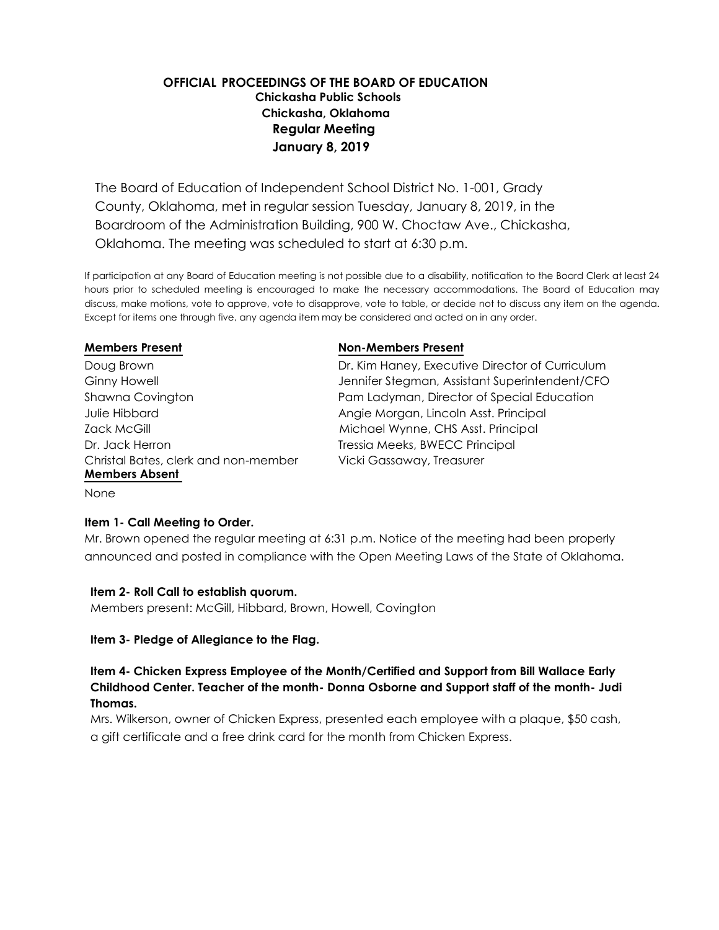## **OFFICIAL PROCEEDINGS OF THE BOARD OF EDUCATION Chickasha Public Schools Chickasha, Oklahoma Regular Meeting January 8, 2019**

The Board of Education of Independent School District No. 1-001, Grady County, Oklahoma, met in regular session Tuesday, January 8, 2019, in the Boardroom of the Administration Building, 900 W. Choctaw Ave., Chickasha, Oklahoma. The meeting was scheduled to start at 6:30 p.m.

If participation at any Board of Education meeting is not possible due to a disability, notification to the Board Clerk at least 24 hours prior to scheduled meeting is encouraged to make the necessary accommodations. The Board of Education may discuss, make motions, vote to approve, vote to disapprove, vote to table, or decide not to discuss any item on the agenda. Except for items one through five, any agenda item may be considered and acted on in any order.

| <b>Members Present</b>               | <b>Non-Members Present</b>                      |
|--------------------------------------|-------------------------------------------------|
| Doug Brown                           | Dr. Kim Haney, Executive Director of Curriculum |
| <b>Ginny Howell</b>                  | Jennifer Stegman, Assistant Superintendent/CFO  |
| Shawna Covington                     | Pam Ladyman, Director of Special Education      |
| Julie Hibbard                        | Angie Morgan, Lincoln Asst. Principal           |
| Zack McGill                          | Michael Wynne, CHS Asst. Principal              |
| Dr. Jack Herron                      | Tressia Meeks, BWECC Principal                  |
| Christal Bates, clerk and non-member | Vicki Gassaway, Treasurer                       |
| <b>Members Absent</b>                |                                                 |

None

#### **Item 1- Call Meeting to Order.**

Mr. Brown opened the regular meeting at 6:31 p.m. Notice of the meeting had been properly announced and posted in compliance with the Open Meeting Laws of the State of Oklahoma.

#### **Item 2- Roll Call to establish quorum.**

Members present: McGill, Hibbard, Brown, Howell, Covington

#### **Item 3- Pledge of Allegiance to the Flag.**

### **Item 4- Chicken Express Employee of the Month/Certified and Support from Bill Wallace Early Childhood Center. Teacher of the month- Donna Osborne and Support staff of the month- Judi Thomas.**

Mrs. Wilkerson, owner of Chicken Express, presented each employee with a plaque, \$50 cash, a gift certificate and a free drink card for the month from Chicken Express.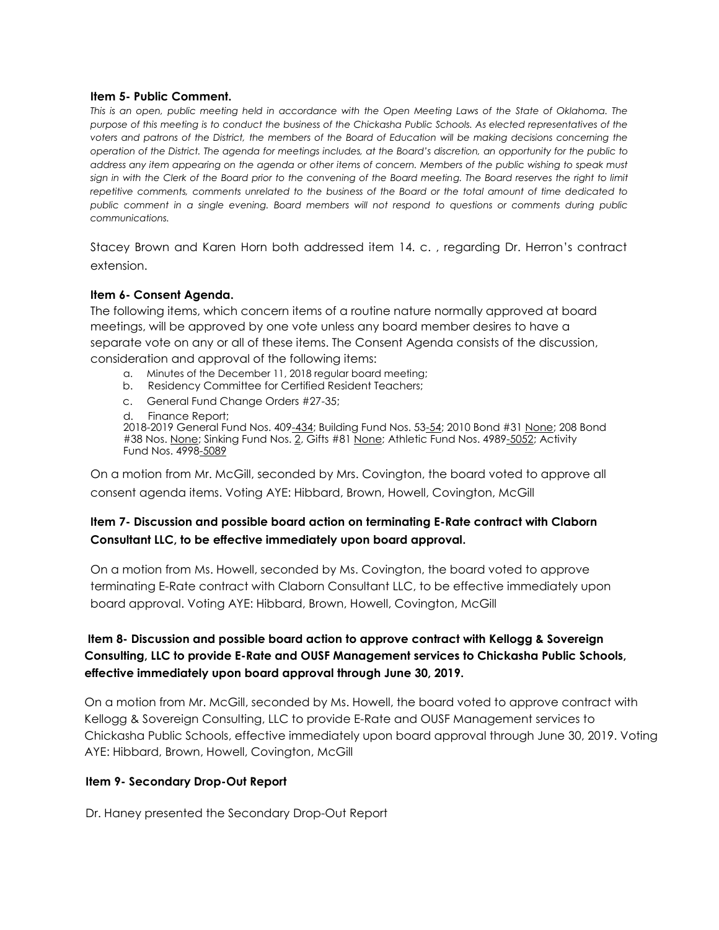#### **Item 5- Public Comment.**

*This is an open, public meeting held in accordance with the Open Meeting Laws of the State of Oklahoma. The purpose of this meeting is to conduct the business of the Chickasha Public Schools. As elected representatives of the voters and patrons of the District, the members of the Board of Education will be making decisions concerning the operation of the District. The agenda for meetings includes, at the Board's discretion, an opportunity for the public to address any item appearing on the agenda or other items of concern. Members of the public wishing to speak must*  sign in with the Clerk of the Board prior to the convening of the Board meeting. The Board reserves the right to limit *repetitive comments, comments unrelated to the business of the Board or the total amount of time dedicated to public comment in a single evening. Board members will not respond to questions or comments during public communications.*

Stacey Brown and Karen Horn both addressed item 14. c. , regarding Dr. Herron's contract extension.

#### **Item 6- Consent Agenda.**

The following items, which concern items of a routine nature normally approved at board meetings, will be approved by one vote unless any board member desires to have a separate vote on any or all of these items. The Consent Agenda consists of the discussion, consideration and approval of the following items:

- a. Minutes of the December 11, 2018 regular board meeting;
- b. Residency Committee for Certified Resident Teachers;
- c. General Fund Change Orders #27-35;
- d. Finance Report;

2018-2019 General Fund Nos. 409-434; Building Fund Nos. 53-54; 2010 Bond #31 None; 208 Bond #38 Nos. None; Sinking Fund Nos. 2, Gifts #81 None; Athletic Fund Nos. 4989-5052; Activity Fund Nos. 4998-5089

On a motion from Mr. McGill, seconded by Mrs. Covington, the board voted to approve all consent agenda items. Voting AYE: Hibbard, Brown, Howell, Covington, McGill

## **Item 7- Discussion and possible board action on terminating E-Rate contract with Claborn Consultant LLC, to be effective immediately upon board approval.**

On a motion from Ms. Howell, seconded by Ms. Covington, the board voted to approve terminating E-Rate contract with Claborn Consultant LLC, to be effective immediately upon board approval. Voting AYE: Hibbard, Brown, Howell, Covington, McGill

## **Item 8- Discussion and possible board action to approve contract with Kellogg & Sovereign Consulting, LLC to provide E-Rate and OUSF Management services to Chickasha Public Schools, effective immediately upon board approval through June 30, 2019.**

On a motion from Mr. McGill, seconded by Ms. Howell, the board voted to approve contract with Kellogg & Sovereign Consulting, LLC to provide E-Rate and OUSF Management services to Chickasha Public Schools, effective immediately upon board approval through June 30, 2019. Voting AYE: Hibbard, Brown, Howell, Covington, McGill

#### **Item 9- Secondary Drop-Out Report**

Dr. Haney presented the Secondary Drop-Out Report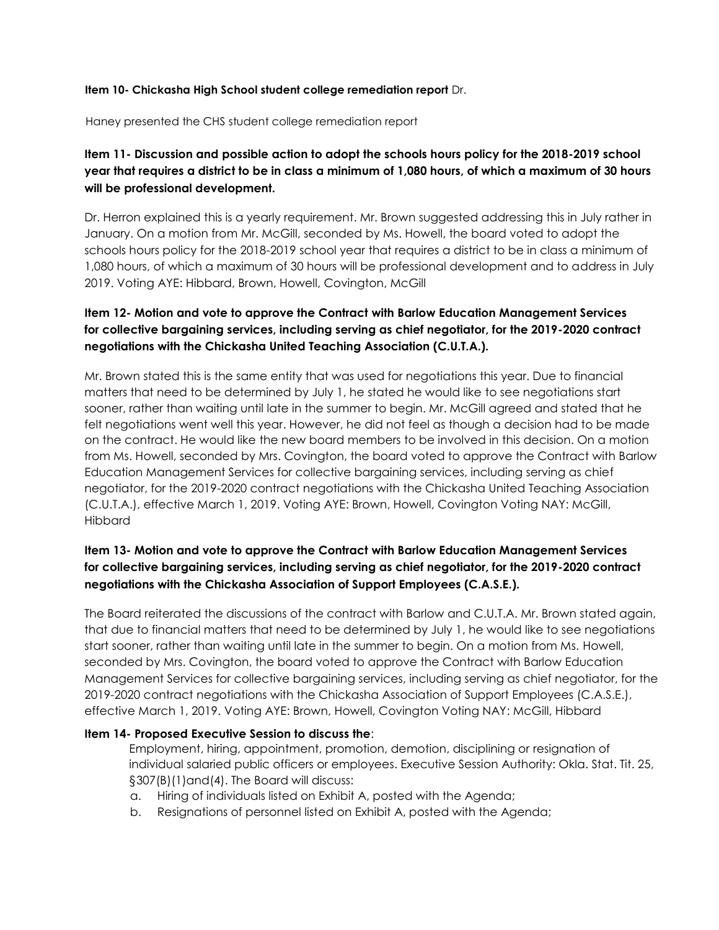#### **Item 10- Chickasha High School student college remediation report** Dr.

Haney presented the CHS student college remediation report

## **Item 11- Discussion and possible action to adopt the schools hours policy for the 2018-2019 school year that requires a district to be in class a minimum of 1,080 hours, of which a maximum of 30 hours will be professional development.**

Dr. Herron explained this is a yearly requirement. Mr. Brown suggested addressing this in July rather in January. On a motion from Mr. McGill, seconded by Ms. Howell, the board voted to adopt the schools hours policy for the 2018-2019 school year that requires a district to be in class a minimum of 1,080 hours, of which a maximum of 30 hours will be professional development and to address in July 2019. Voting AYE: Hibbard, Brown, Howell, Covington, McGill

# **Item 12- Motion and vote to approve the Contract with Barlow Education Management Services for collective bargaining services, including serving as chief negotiator, for the 2019-2020 contract negotiations with the Chickasha United Teaching Association (C.U.T.A.).**

Mr. Brown stated this is the same entity that was used for negotiations this year. Due to financial matters that need to be determined by July 1, he stated he would like to see negotiations start sooner, rather than waiting until late in the summer to begin. Mr. McGill agreed and stated that he felt negotiations went well this year. However, he did not feel as though a decision had to be made on the contract. He would like the new board members to be involved in this decision. On a motion from Ms. Howell, seconded by Mrs. Covington, the board voted to approve the Contract with Barlow Education Management Services for collective bargaining services, including serving as chief negotiator, for the 2019-2020 contract negotiations with the Chickasha United Teaching Association (C.U.T.A.), effective March 1, 2019. Voting AYE: Brown, Howell, Covington Voting NAY: McGill, Hibbard

# **Item 13- Motion and vote to approve the Contract with Barlow Education Management Services for collective bargaining services, including serving as chief negotiator, for the 2019-2020 contract negotiations with the Chickasha Association of Support Employees (C.A.S.E.).**

The Board reiterated the discussions of the contract with Barlow and C.U.T.A. Mr. Brown stated again, that due to financial matters that need to be determined by July 1, he would like to see negotiations start sooner, rather than waiting until late in the summer to begin. On a motion from Ms. Howell, seconded by Mrs. Covington, the board voted to approve the Contract with Barlow Education Management Services for collective bargaining services, including serving as chief negotiator, for the 2019-2020 contract negotiations with the Chickasha Association of Support Employees (C.A.S.E.), effective March 1, 2019. Voting AYE: Brown, Howell, Covington Voting NAY: McGill, Hibbard

### **Item 14- Proposed Executive Session to discuss the**:

Employment, hiring, appointment, promotion, demotion, disciplining or resignation of individual salaried public officers or employees. Executive Session Authority: Okla. Stat. Tit. 25, §307(B)(1)and(4). The Board will discuss:

- a. Hiring of individuals listed on Exhibit A, posted with the Agenda;
- b. Resignations of personnel listed on Exhibit A, posted with the Agenda;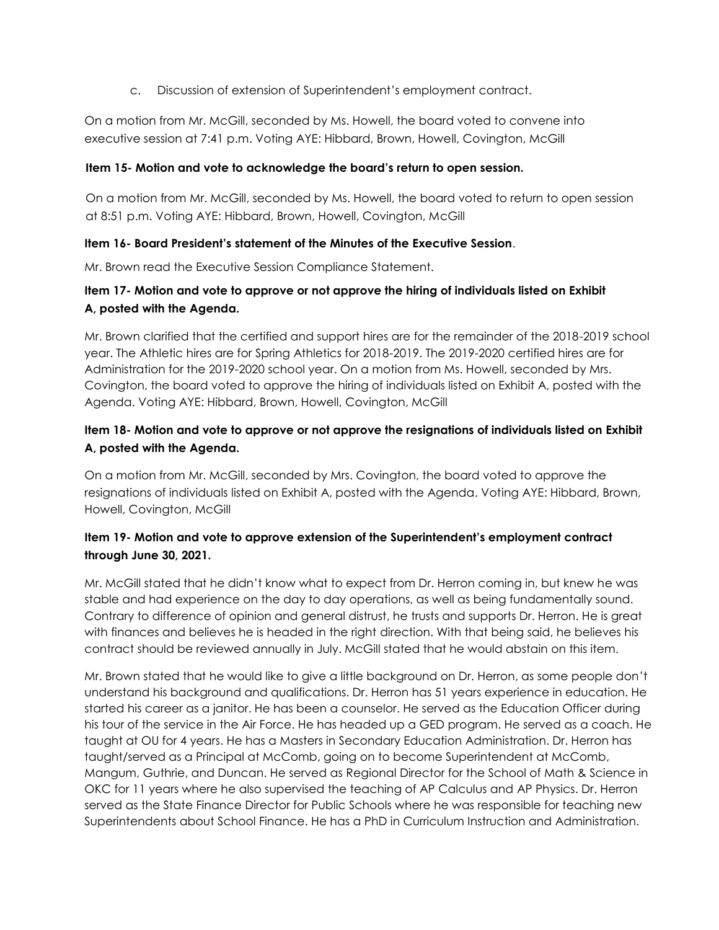c. Discussion of extension of Superintendent's employment contract.

On a motion from Mr. McGill, seconded by Ms. Howell, the board voted to convene into executive session at 7:41 p.m. Voting AYE: Hibbard, Brown, Howell, Covington, McGill

#### **Item 15- Motion and vote to acknowledge the board's return to open session.**

On a motion from Mr. McGill, seconded by Ms. Howell, the board voted to return to open session at 8:51 p.m. Voting AYE: Hibbard, Brown, Howell, Covington, McGill

#### **Item 16- Board President's statement of the Minutes of the Executive Session**.

Mr. Brown read the Executive Session Compliance Statement.

## **Item 17- Motion and vote to approve or not approve the hiring of individuals listed on Exhibit A, posted with the Agenda.**

Mr. Brown clarified that the certified and support hires are for the remainder of the 2018-2019 school year. The Athletic hires are for Spring Athletics for 2018-2019. The 2019-2020 certified hires are for Administration for the 2019-2020 school year. On a motion from Ms. Howell, seconded by Mrs. Covington, the board voted to approve the hiring of individuals listed on Exhibit A, posted with the Agenda. Voting AYE: Hibbard, Brown, Howell, Covington, McGill

# **Item 18- Motion and vote to approve or not approve the resignations of individuals listed on Exhibit A, posted with the Agenda.**

On a motion from Mr. McGill, seconded by Mrs. Covington, the board voted to approve the resignations of individuals listed on Exhibit A, posted with the Agenda. Voting AYE: Hibbard, Brown, Howell, Covington, McGill

# **Item 19- Motion and vote to approve extension of the Superintendent's employment contract through June 30, 2021.**

Mr. McGill stated that he didn't know what to expect from Dr. Herron coming in, but knew he was stable and had experience on the day to day operations, as well as being fundamentally sound. Contrary to difference of opinion and general distrust, he trusts and supports Dr. Herron. He is great with finances and believes he is headed in the right direction. With that being said, he believes his contract should be reviewed annually in July. McGill stated that he would abstain on this item.

Mr. Brown stated that he would like to give a little background on Dr. Herron, as some people don't understand his background and qualifications. Dr. Herron has 51 years experience in education. He started his career as a janitor. He has been a counselor. He served as the Education Officer during his tour of the service in the Air Force. He has headed up a GED program. He served as a coach. He taught at OU for 4 years. He has a Masters in Secondary Education Administration. Dr. Herron has taught/served as a Principal at McComb, going on to become Superintendent at McComb, Mangum, Guthrie, and Duncan. He served as Regional Director for the School of Math & Science in OKC for 11 years where he also supervised the teaching of AP Calculus and AP Physics. Dr. Herron served as the State Finance Director for Public Schools where he was responsible for teaching new Superintendents about School Finance. He has a PhD in Curriculum Instruction and Administration.